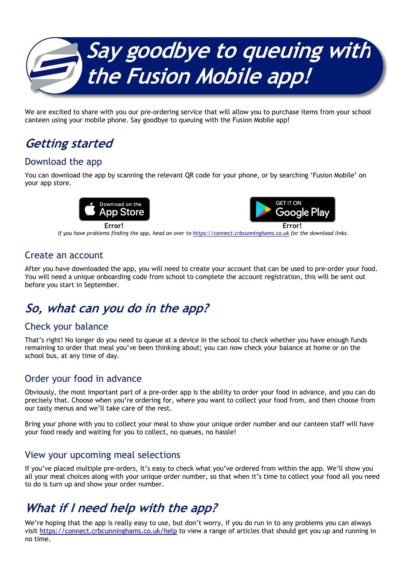

We are excited to share with you our pre-ordering service that will allow you to purchase items from your school canteen using your mobile phone. Say goodbye to queuing with the Fusion Mobile app!

## **Getting started**

### Download the app

You can download the app by scanning the relevant QR code for your phone, or by searching 'Fusion Mobile' on your app store.





**Error! Error!** *If you have problems finding the app, head on over to https://connect.crbcunninghams.co.uk for the download links.*

#### Create an account

After you have downloaded the app, you will need to create your account that can be used to pre-order your food. You will need a unique onboarding code from school to complete the account registration, this will be sent out before you start in September.

## **So, what can you do in the app?**

#### Check your balance

That's right! No longer do you need to queue at a device in the school to check whether you have enough funds remaining to order that meal you've been thinking about; you can now check your balance at home or on the school bus, at any time of day.

#### Order your food in advance

Obviously, the most important part of a pre-order app is the ability to order your food in advance, and you can do precisely that. Choose when you're ordering for, where you want to collect your food from, and then choose from our tasty menus and we'll take care of the rest.

Bring your phone with you to collect your meal to show your unique order number and our canteen staff will have your food ready and waiting for you to collect, no queues, no hassle!

#### View your upcoming meal selections

If you've placed multiple pre-orders, it's easy to check what you've ordered from within the app. We'll show you all your meal choices along with your unique order number, so that when it's time to collect your food all you need to do is turn up and show your order number.

# **What if I need help with the app?**

We're hoping that the app is really easy to use, but don't worry, if you do run in to any problems you can always visit https://connect.crbcunninghams.co.uk/help to view a range of articles that should get you up and running in no time.